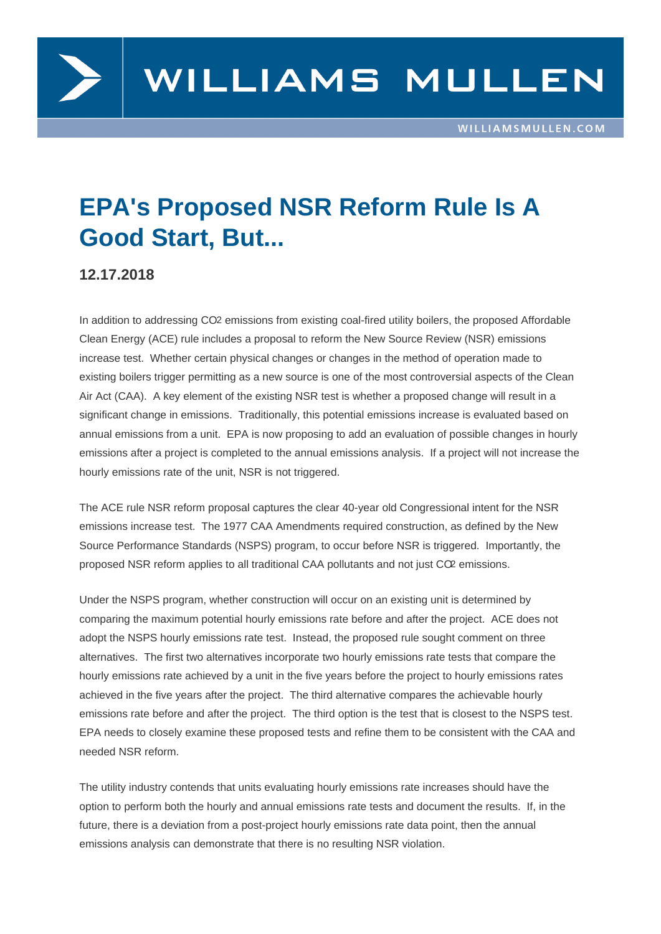

## **EPA's Proposed NSR Reform Rule Is A Good Start, But...**

## **12.17.2018**

In addition to addressing CO2 emissions from existing coal-fired utility boilers, the proposed Affordable Clean Energy (ACE) rule includes a proposal to reform the New Source Review (NSR) emissions increase test. Whether certain physical changes or changes in the method of operation made to existing boilers trigger permitting as a new source is one of the most controversial aspects of the Clean Air Act (CAA). A key element of the existing NSR test is whether a proposed change will result in a significant change in emissions. Traditionally, this potential emissions increase is evaluated based on annual emissions from a unit. EPA is now proposing to add an evaluation of possible changes in hourly emissions after a project is completed to the annual emissions analysis. If a project will not increase the hourly emissions rate of the unit, NSR is not triggered.

The ACE rule NSR reform proposal captures the clear 40-year old Congressional intent for the NSR emissions increase test. The 1977 CAA Amendments required construction, as defined by the New Source Performance Standards (NSPS) program, to occur before NSR is triggered. Importantly, the proposed NSR reform applies to all traditional CAA pollutants and not just CO2 emissions.

Under the NSPS program, whether construction will occur on an existing unit is determined by comparing the maximum potential hourly emissions rate before and after the project. ACE does not adopt the NSPS hourly emissions rate test. Instead, the proposed rule sought comment on three alternatives. The first two alternatives incorporate two hourly emissions rate tests that compare the hourly emissions rate achieved by a unit in the five years before the project to hourly emissions rates achieved in the five years after the project. The third alternative compares the achievable hourly emissions rate before and after the project. The third option is the test that is closest to the NSPS test. EPA needs to closely examine these proposed tests and refine them to be consistent with the CAA and needed NSR reform.

The utility industry contends that units evaluating hourly emissions rate increases should have the option to perform both the hourly and annual emissions rate tests and document the results. If, in the future, there is a deviation from a post-project hourly emissions rate data point, then the annual emissions analysis can demonstrate that there is no resulting NSR violation.